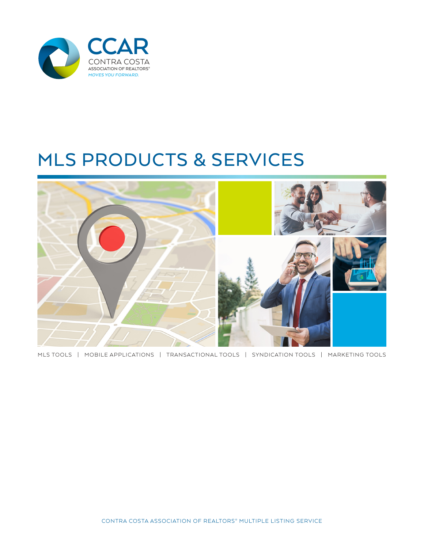

# MLS PRODUCTS & SERVICES



MLS TOOLS | MOBILE APPLICATIONS | TRANSACTIONAL TOOLS | SYNDICATION TOOLS | MARKETING TOOLS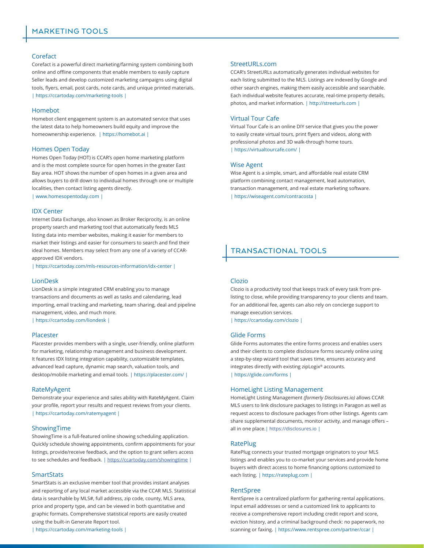# Corefact

Corefact is a powerful direct marketing/farming system combining both online and offline components that enable members to easily capture Seller leads and develop customized marketing campaigns using digital tools, flyers, email, post cards, note cards, and unique printed materials. | https://ccartoday.com/marketing-tools |

# Homebot

Homebot client engagement system is an automated service that uses the latest data to help homeowners build equity and improve the homeownership experience. | https://homebot.ai |

#### Homes Open Today

Homes Open Today (HOT) is CCAR's open home marketing platform and is the most complete source for open homes in the greater East Bay area. HOT shows the number of open homes in a given area and allows buyers to drill down to individual homes through one or multiple localities, then contact listing agents directly.

| www.homesopentoday.com |

#### IDX Center

Internet Data Exchange, also known as Broker Reciprocity, is an online property search and marketing tool that automatically feeds MLS listing data into member websites, making it easier for members to market their listings and easier for consumers to search and find their ideal homes. Members may select from any one of a variety of CCARapproved IDX vendors.

| https://ccartoday.com/mls-resources-information/idx-center |

# LionDesk

LionDesk is a simple integrated CRM enabling you to manage transactions and documents as well as tasks and calendaring, lead importing, email tracking and marketing, team sharing, deal and pipeline management, video, and much more.

| https://ccartoday.com/liondesk |

# Placester

Placester provides members with a single, user-friendly, online platform for marketing, relationship management and business development. It features IDX listing integration capability, customizable templates, advanced lead capture, dynamic map search, valuation tools, and desktop/mobile marketing and email tools. | https://placester.com/ |

#### RateMyAgent

Demonstrate your experience and sales ability with RateMyAgent. Claim your profile, report your results and request reviews from your clients. | https://ccartoday.com/ratemyagent |

#### ShowingTime

ShowingTime is a full-featured online showing scheduling application. Quickly schedule showing appointments, confirm appointments for your listings, provide/receive feedback, and the option to grant sellers access to see schedules and feedback. |<https://ccartoday.com/showingtime> |

# **SmartStats**

SmartStats is an exclusive member tool that provides instant analyses and reporting of any local market accessible via the CCAR MLS. Statistical data is searchable by MLS#, full address, zip code, county, MLS area, price and property type, and can be viewed in both quantitative and graphic formats. Comprehensive statistical reports are easily created using the built-in Generate Report tool.

| https://ccartoday.com/marketing-tools |

#### StreetURLs.com

CCAR's StreetURLs automatically generates individual websites for each listing submitted to the MLS. Listings are indexed by Google and other search engines, making them easily accessible and searchable. Each individual website features accurate, real-time property details, photos, and market information. | http://streeturls.com |

# Virtual Tour Cafe

Virtual Tour Cafe is an online DIY service that gives you the power to easily create virtual tours, print flyers and videos, along with professional photos and 3D walk-through home tours. | https://virtualtourcafe.com/ |

#### Wise Agent

Wise Agent is a simple, smart, and affordable real estate CRM platform combining contact management, lead automation, transaction management, and real estate marketing software. | https://wiseagent.com/contracosta |

# TRANSACTIONAL TOOLS

# Clozio

Clozio is a productivity tool that keeps track of every task from prelisting to close, while providing transparency to your clients and team. For an additional fee, agents can also rely on concierge support to manage execution services.

| https://ccartoday.com/clozio |

# Glide Forms

Glide Forms automates the entire forms process and enables users and their clients to complete disclosure forms securely online using a step-by-step wizard tool that saves time, ensures accuracy and integrates directly with existing zipLogix® accounts. | https://glide.com/forms |

#### HomeLight Listing Management

HomeLight Listing Management *(formerly Disclosures.io)* allows CCAR MLS users to link disclosure packages to listings in Paragon as well as request access to disclosure packages from other listings. Agents cam share supplemental documents, monitor activity, and manage offers – all in one place.|<https://disclosures.io> |

#### **RatePlug**

RatePlug connects your trusted mortgage originators to your MLS listings and enables you to co-market your services and provide home buyers with direct access to home financing options customized to each listing. | https://rateplug.com |

### RentSpree

RentSpree is a centralized platform for gathering rental applications. Input email addresses or send a customized link to applicants to receive a comprehensive report including credit report and score, eviction history, and a criminal background check: no paperwork, no scanning or faxing. | https://www.rentspree.com/partner/ccar |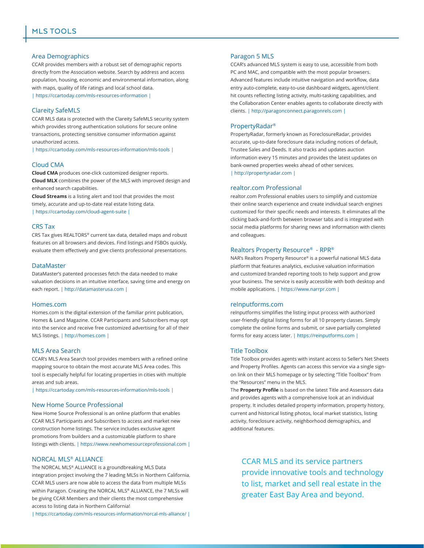# Area Demographics

CCAR provides members with a robust set of demographic reports directly from the Association website. Search by address and access population, housing, economic and environmental information, along with maps, quality of life ratings and local school data.

| https://ccartoday.com/mls-resources-information |

# Clareity SafeMLS

CCAR MLS data is protected with the Clareity SafeMLS security system which provides strong authentication solutions for secure online transactions, protecting sensitive consumer information against unauthorized access.

| https://ccartoday.com/mls-resources-information/mls-tools |

#### Cloud CMA

**Cloud CMA** produces one-click customized designer reports. **Cloud MLX** combines the power of the MLS with improved design and enhanced search capabilities.

**Cloud Streams** is a listing alert and tool that provides the most timely, accurate and up-to-date real estate listing data. | https://ccartoday.com/cloud-agent-suite |

#### CRS Tax

CRS Tax gives REALTORS® current tax data, detailed maps and robust features on all browsers and devices. Find listings and FSBOs quickly, evaluate them effectively and give clients professional presentations.

#### **DataMaster**

DataMaster's patented processes fetch the data needed to make valuation decisions in an intuitive interface, saving time and energy on each report. | http://datamasterusa.com |

#### Homes.com

Homes.com is the digital extension of the familiar print publication, Homes & Land Magazine. CCAR Participants and Subscribers may opt into the service and receive free customized advertising for all of their MLS listings. | http://homes.com |

# MLS Area Search

CCAR's MLS Area Search tool provides members with a refined online mapping source to obtain the most accurate MLS Area codes. This tool is especially helpful for locating properties in cities with multiple areas and sub areas.

| https://ccartoday.com/mls-resources-information/mls-tools |

#### New Home Source Professional

New Home Source Professional is an online platform that enables CCAR MLS Participants and Subscribers to access and market new construction home listings. The service includes exclusive agent promotions from builders and a customizable platform to share listings with clients. | https://www.newhomesourceprofessional.com |

# NORCAL MLS® ALLIANCE

The NORCAL MLS® ALLIANCE is a groundbreaking MLS Data integration project involving the 7 leading MLSs in Northern California. CCAR MLS users are now able to access the data from multiple MLSs within Paragon. Creating the NORCAL MLS® ALLIANCE, the 7 MLSs will be giving CCAR Members and their clients the most comprehensive access to listing data in Northern California!

| https://ccartoday.com/mls-resources-information/norcal-mls-alliance/ |

#### Paragon 5 MLS

CCAR's advanced MLS system is easy to use, accessible from both PC and MAC, and compatible with the most popular browsers. Advanced features include intuitive navigation and workflow, data entry auto-complete, easy-to-use dashboard widgets, agent/client hit counts reflecting listing activity, multi-tasking capabilities, and the Collaboration Center enables agents to collaborate directly with clients. | http://paragonconnect.paragonrels.com |

# PropertyRadar®

PropertyRadar, formerly known as ForeclosureRadar, provides accurate, up-to-date foreclosure data including notices of default, Trustee Sales and Deeds. It also tracks and updates auction information every 15 minutes and provides the latest updates on bank-owned properties weeks ahead of other services. | http://propertyradar.com |

#### realtor.com Professional

realtor.com Professional enables users to simplify and customize their online search experience and create individual search engines customized for their specific needs and interests. It eliminates all the clicking back-and-forth between browser tabs and is integrated with social media platforms for sharing news and information with clients and colleagues.

#### Realtors Property Resource® - RPR®

NAR's Realtors Property Resource® is a powerful national MLS data platform that features analytics, exclusive valuation information and customized branded reporting tools to help support and grow your business. The service is easily accessible with both desktop and mobile applications. | https://www.narrpr.com |

#### reInputforms.com

reInputforms simplifies the listing input process with authorized user-friendly digital listing forms for all 10 property classes. Simply complete the online forms and submit, or save partially completed forms for easy access later. | https://reinputforms.com |

#### Title Toolbox

Title Toolbox provides agents with instant access to Seller's Net Sheets and Property Profiles. Agents can access this service via a single signon link on their MLS homepage or by selecting "Title Toolbox" from the "Resources" menu in the MLS.

The **Property Profile** is based on the latest Title and Assessors data and provides agents with a comprehensive look at an individual property. It includes detailed property information, property history, current and historical listing photos, local market statistics, listing activity, foreclosure activity, neighborhood demographics, and additional features.

CCAR MLS and its service partners provide innovative tools and technology to list, market and sell real estate in the greater East Bay Area and beyond.